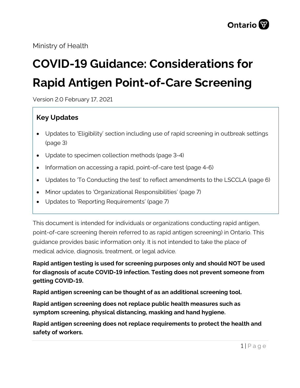Ministry of Health

# **COVID-19 Guidance: Considerations for Rapid Antigen Point-of-Care Screening**

Version 2.0 February 17, 2021

# **Key Updates**

- Updates to 'Eligibility' section including use of rapid screening in outbreak settings (page 3)
- Update to specimen collection methods (page 3-4)
- Information on accessing a rapid, point-of-care test (page 4-6)
- Updates to 'To Conducting the test' to reflect amendments to the LSCCLA (page 6)
- Minor updates to 'Organizational Responsibilities' (page 7)
- Updates to 'Reporting Requirements' (page 7)

This document is intended for individuals or organizations conducting rapid antigen, point-of-care screening (herein referred to as rapid antigen screening) in Ontario. This guidance provides basic information only. It is not intended to take the place of medical advice, diagnosis, treatment, or legal advice.

## **Rapid antigen testing is used for screening purposes only and should NOT be used for diagnosis of acute COVID-19 infection. Testing does not prevent someone from getting COVID-19.**

**Rapid antigen screening can be thought of as an additional screening tool.**

**Rapid antigen screening does not replace public health measures such as symptom screening, physical distancing, masking and hand hygiene.**

**Rapid antigen screening does not replace requirements to protect the health and safety of workers.**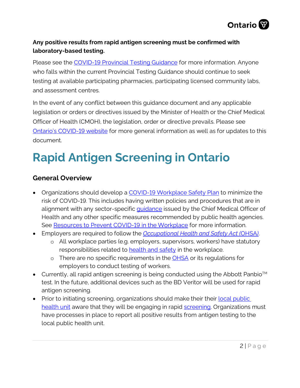

#### **Any positive results from rapid antigen screening must be confirmed with laboratory-based testing.**

Please see the [COVID-19 Provincial Testing Guidance](http://www.health.gov.on.ca/en/pro/programs/publichealth/coronavirus/docs/2019_testing_guidance.pdf) for more information. Anyone who falls within the current Provincial Testing Guidance should continue to seek testing at available participating pharmacies, participating licensed community labs, and assessment centres.

In the event of any conflict between this guidance document and any applicable legislation or orders or directives issued by the Minister of Health or the Chief Medical Officer of Health (CMOH), the legislation, order or directive prevails. Please see [Ontario's COVID-19 website](https://www.ontario.ca/page/resources-prevent-covid-19-workplace) for more general information as well as for updates to this document.

# **Rapid Antigen Screening in Ontario**

### **General Overview**

- Organizations should develop a [COVID-19 Workplace Safety Plan](https://www.ontario.ca/page/develop-your-covid-19-workplace-safety-plan) to minimize the risk of COVID-19. This includes having written policies and procedures that are in alignment with any sector-specific quidance issued by the Chief Medical Officer of Health and any other specific measures recommended by public health agencies. See [Resources to Prevent COVID-19 in the Workplace](https://www.ontario.ca/page/resources-prevent-covid-19-workplace) for more information.
- Employers are required to follow the *[Occupational Health and Safety Act \(](https://www.ontario.ca/laws/statute/90o01)*OHSA*)*.
	- o All workplace parties (e.g. employers, supervisors, workers) have statutory responsibilities related to **health and safety** in the workplace.
	- o There are no specific requirements in the **OHSA** or its regulations for employers to conduct testing of workers.
- Currently, all rapid antigen screening is being conducted using the Abbott Panbio<sup>TM</sup> test. In the future, additional devices such as the BD Veritor will be used for rapid antigen screening.
- Prior to initiating screening, organizations should make their their local public [health unit](http://www.health.gov.on.ca/en/common/system/services/phu/locations.aspx) aware that they will be engaging in rapid [screening.](http://www.health.gov.on.ca/en/pro/programs/publichealth/coronavirus/docs/Considerations_for_Privately-Initiated_Testing.pdf) Organizations must have processes in place to report all positive results from antigen testing to the local public health unit.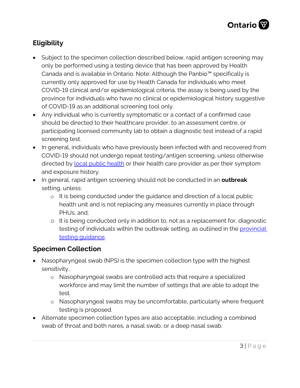

# **Eligibility**

- Subject to the specimen collection described below, rapid antigen screening may only be performed using a testing device that has been approved by Health Canada and is available in Ontario. Note: Although the Panbio™ specifically is currently only approved for use by Health Canada for individuals who meet COVID-19 clinical and/or epidemiological criteria, the assay is being used by the province for individuals who have no clinical or epidemiological history suggestive of COVID-19 as an additional screening tool only.
- Any individual who is currently symptomatic or a contact of a confirmed case should be directed to their healthcare provider, to an assessment centre, or participating licensed community lab to obtain a diagnostic test instead of a rapid screening test.
- In general, individuals who have previously been infected with and recovered from COVID-19 should not undergo repeat testing/antigen screening, unless otherwise directed by [local public health](http://www.health.gov.on.ca/en/common/system/services/phu/locations.aspx) or their health care provider as per their symptom and exposure history.
- In general, rapid antigen screening should not be conducted in an **outbreak** setting, unless:
	- o It is being conducted under the guidance and direction of a local public health unit and is not replacing any measures currently in place through PHUs, and;
	- o It is being conducted only in addition to, not as a replacement for, diagnostic testing of individuals within the outbreak setting, as outlined in the *provincial* [testing guidance.](http://www.health.gov.on.ca/en/pro/programs/publichealth/coronavirus/docs/2019_testing_guidance.pdf)

### **Specimen Collection**

- Nasopharyngeal swab (NPS) is the specimen collection type with the highest sensitivity.
	- o Nasopharyngeal swabs are controlled acts that require a specialized workforce and may limit the number of settings that are able to adopt the test.
	- o Nasopharyngeal swabs may be uncomfortable, particularly where frequent testing is proposed.
- Alternate specimen collection types are also acceptable, including a combined swab of throat and both nares, a nasal swab, or a deep nasal swab.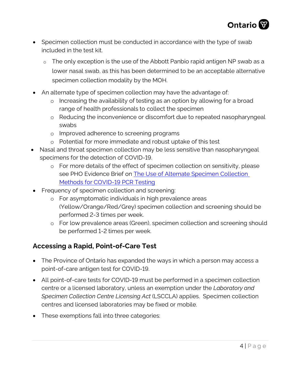

- Specimen collection must be conducted in accordance with the type of swab included in the test kit.
	- o The only exception is the use of the Abbott Panbio rapid antigen NP swab as a lower nasal swab, as this has been determined to be an acceptable alternative specimen collection modality by the MOH.
- An alternate type of specimen collection may have the advantage of:
	- o Increasing the availability of testing as an option by allowing for a broad range of health professionals to collect the specimen
	- o Reducing the inconvenience or discomfort due to repeated nasopharyngeal swabs
	- o Improved adherence to screening programs
	- o Potential for more immediate and robust uptake of this test
- Nasal and throat specimen collection may be less sensitive than nasopharyngeal specimens for the detection of COVID-19.
	- o For more details of the effect of specimen collection on sensitivity, please see PHO Evidence Brief on The Use of Alternate Specimen Collection [Methods for COVID-19 PCR Testing](https://www.publichealthontario.ca/-/media/documents/ncov/evidence-brief/2020/08/eb-covid-19-pcr-testing-alternative-collection-testing.pdf?la=en)
- Frequency of specimen collection and screening:
	- o For asymptomatic individuals in high prevalence areas (Yellow/Orange/Red/Grey) specimen collection and screening should be performed 2-3 times per week.
	- o For low prevalence areas (Green), specimen collection and screening should be performed 1-2 times per week.

### **Accessing a Rapid, Point-of-Care Test**

- The Province of Ontario has expanded the ways in which a person may access a point-of-care antigen test for COVID-19.
- All point-of-care tests for COVID-19 must be performed in a specimen collection centre or a licensed laboratory, unless an exemption under the *Laboratory and Specimen Collection Centre Licensing Act* (LSCCLA) applies. Specimen collection centres and licensed laboratories may be fixed or mobile.
- These exemptions fall into three categories: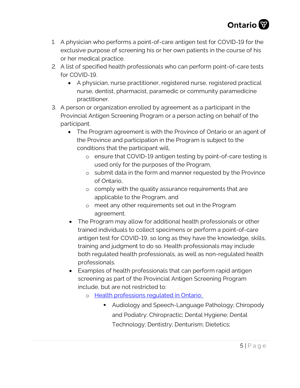

- 1. A physician who performs a point-of-care antigen test for COVID-19 for the exclusive purpose of screening his or her own patients in the course of his or her medical practice.
- 2. A list of specified health professionals who can perform point-of-care tests for COVID-19.
	- A physician, nurse practitioner, registered nurse, registered practical nurse, dentist, pharmacist, paramedic or community paramedicine practitioner.
- 3. A person or organization enrolled by agreement as a participant in the Provincial Antigen Screening Program or a person acting on behalf of the participant.
	- The Program agreement is with the Province of Ontario or an agent of the Province and participation in the Program is subject to the conditions that the participant will,
		- o ensure that COVID-19 antigen testing by point-of-care testing is used only for the purposes of the Program,
		- o submit data in the form and manner requested by the Province of Ontario,
		- o comply with the quality assurance requirements that are applicable to the Program, and
		- o meet any other requirements set out in the Program agreement.
	- The Program may allow for additional health professionals or other trained individuals to collect specimens or perform a point-of-care antigen test for COVID-19, so long as they have the knowledge, skills, training and judgment to do so. Health professionals may include both regulated health professionals, as well as non-regulated health professionals.
	- Examples of health professionals that can perform rapid antigen screening as part of the Provincial Antigen Screening Program include, but are not restricted to:
		- o Health professions regulated in Ontario:
			- **Audiology and Speech-Language Pathology; Chiropody** and Podiatry; Chiropractic; Dental Hygiene; Dental Technology; Dentistry; Denturism; Dietetics;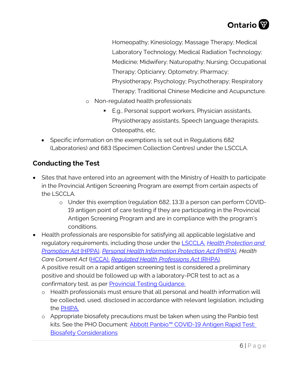

Homeopathy; Kinesiology; Massage Therapy; Medical Laboratory Technology; Medical Radiation Technology; Medicine; Midwifery; Naturopathy; Nursing; Occupational Therapy; Opticianry; Optometry; Pharmacy; Physiotherapy; Psychology; Psychotherapy; Respiratory Therapy; Traditional Chinese Medicine and Acupuncture.

- o Non-regulated health professionals:
	- E.g., Personal support workers, Physician assistants, Physiotherapy assistants, Speech language therapists, Osteopaths, etc.
- Specific information on the exemptions is set out in Regulations 682 (Laboratories) and 683 (Specimen Collection Centres) under the LSCCLA.

# **Conducting the Test**

- the LSCCLA*.* • Sites that have entered into an agreement with the Ministry of Health to participate in the Provincial Antigen Screening Program are exempt from certain aspects of
	- o Under this exemption (regulation 682, 13.3) a person can perform COVID-19 antigen point of care testing if they are participating in the Provincial Antigen Screening Program and are in compliance with the program's conditions.
- *Care Consent Act* [\(HCCA\)](https://www.ontario.ca/laws/statute/96h02), *[Regulated Health Professions Act](https://www.ontario.ca/laws/statute/91r18)* (RHPA). A positive result on a rapid antigen screening test is considered a preliminary • Health professionals are responsible for satisfying all applicable legislative and regulatory requirements, including those under the [LSCCLA,](https://www.ontario.ca/laws/statute/90l01) *[Health Protection and](https://www.ontario.ca/laws/statute/90h07)  [Promotion Act](https://www.ontario.ca/laws/statute/90h07)* (HPPA), *[Personal Health Information Protection Act](https://www.ontario.ca/laws/statute/04p03) (*[PHIPA\)](https://www.ontario.ca/laws/statute/04p03), *Health*  positive and should be followed up with a laboratory-PCR test to act as a confirmatory test, as per [Provincial Testing Guidance.](http://www.health.gov.on.ca/en/pro/programs/publichealth/coronavirus/docs/2019_testing_guidance.pdf) 
	- o Health professionals must ensure that all personal and health information will be collected, used, disclosed in accordance with relevant legislation, including the PHIPA.
	- kits. See the PHO Document: Abbott Panbio™ COVID-19 Antigen Rapid Test: o Appropriate biosafety precautions must be taken when using the Panbio test [Biosafety Considerations](https://www.publichealthontario.ca/-/media/documents/lab/covid-19-abbott-panbio-antigen-rapid-test-biosafety.pdf?la=en)